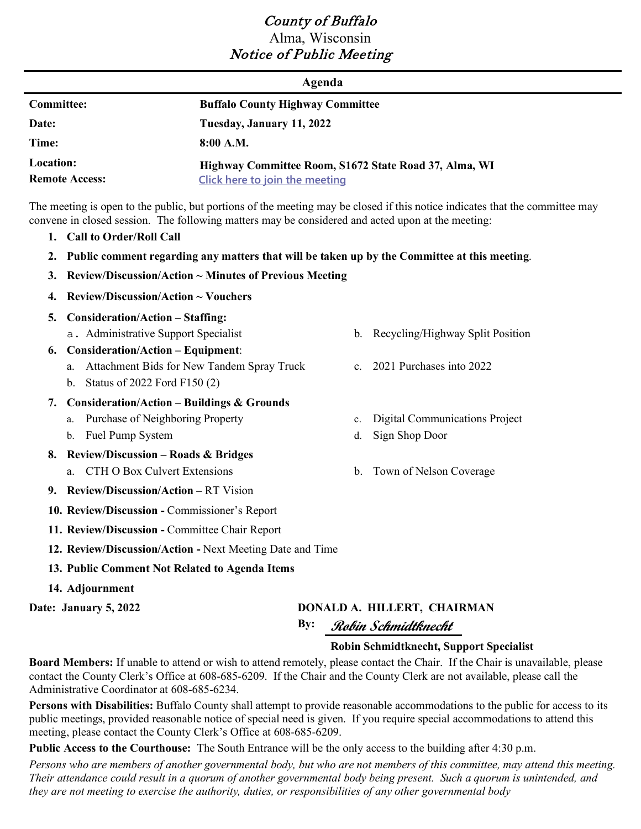# County of Buffalo Alma, Wisconsin Notice of Public Meeting

|                                    | Agenda                                                                                  |
|------------------------------------|-----------------------------------------------------------------------------------------|
| <b>Committee:</b>                  | <b>Buffalo County Highway Committee</b>                                                 |
| Date:                              | Tuesday, January 11, 2022                                                               |
| Time:                              | 8:00 A.M.                                                                               |
| Location:<br><b>Remote Access:</b> | Highway Committee Room, S1672 State Road 37, Alma, WI<br>Click here to join the meeting |

The meeting is open to the public, but portions of the meeting may be closed if this notice indicates that the committee may convene in closed session. The following matters may be considered and acted upon at the meeting:

- **1. Call to Order/Roll Call**
- **2. Public comment regarding any matters that will be taken up by the Committee at this meeting**.
- **3. Review/Discussion/Action ~ Minutes of Previous Meeting**
- **4. Review/Discussion/Action ~ Vouchers**
- **5. Consideration/Action – Staffing:**
	- a. Administrative Support Specialist b. Recycling/Highway Split Position
- **6. Consideration/Action – Equipment**:
	- a. Attachment Bids for New Tandem Spray Truck
	- b. Status of 2022 Ford F150 (2)

### **7. Consideration/Action – Buildings & Grounds**

- a. Purchase of Neighboring Property
- b. Fuel Pump System

### **8. Review/Discussion – Roads & Bridges**

- a. CTH O Box Culvert Extensions b. Town of Nelson Coverage
- **9. Review/Discussion/Action –** RT Vision
- **10. Review/Discussion -** Commissioner's Report
- **11. Review/Discussion -** Committee Chair Report
- **12. Review/Discussion/Action -** Next Meeting Date and Time
- **13. Public Comment Not Related to Agenda Items**
- **14. Adjournment**

# **Date: January 5, 2022 DONALD A. HILLERT, CHAIRMAN**

# **By: Robin Schmidtknecht**

### **Robin Schmidtknecht, Support Specialist**

**Board Members:** If unable to attend or wish to attend remotely, please contact the Chair. If the Chair is unavailable, please contact the County Clerk's Office at 608-685-6209. If the Chair and the County Clerk are not available, please call the Administrative Coordinator at 608-685-6234.

**Persons with Disabilities:** Buffalo County shall attempt to provide reasonable accommodations to the public for access to its public meetings, provided reasonable notice of special need is given. If you require special accommodations to attend this meeting, please contact the County Clerk's Office at 608-685-6209.

**Public Access to the Courthouse:** The South Entrance will be the only access to the building after 4:30 p.m.

*Persons who are members of another governmental body, but who are not members of this committee, may attend this meeting. Their attendance could result in a quorum of another governmental body being present. Such a quorum is unintended, and they are not meeting to exercise the authority, duties, or responsibilities of any other governmental body*

- 
- c. 2021 Purchases into 2022
- c. Digital Communications Project
- d. Sign Shop Door
-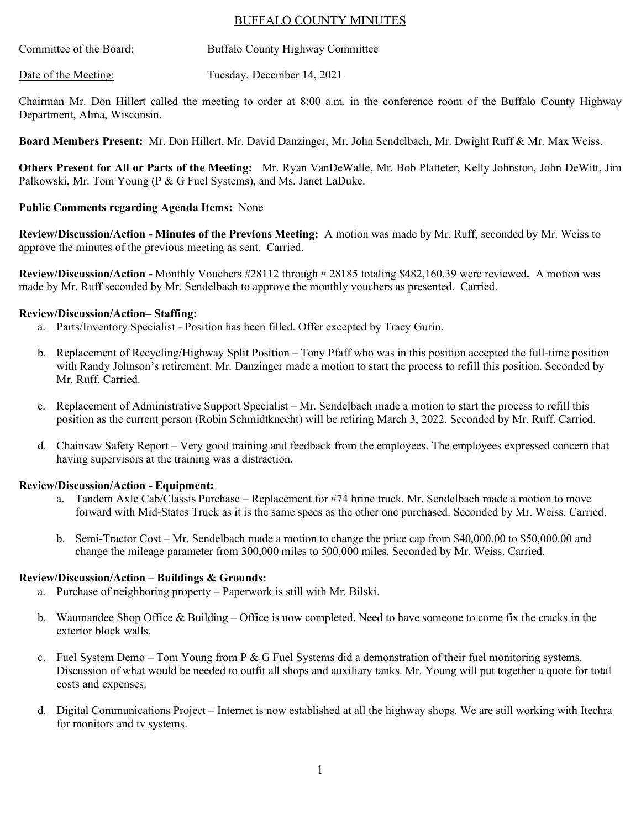## BUFFALO COUNTY MINUTES

| Committee of the Board: | Buffalo County Highway Committee |  |
|-------------------------|----------------------------------|--|
|                         |                                  |  |

Date of the Meeting: Tuesday, December 14, 2021

Chairman Mr. Don Hillert called the meeting to order at 8:00 a.m. in the conference room of the Buffalo County Highway Department, Alma, Wisconsin.

**Board Members Present:** Mr. Don Hillert, Mr. David Danzinger, Mr. John Sendelbach, Mr. Dwight Ruff & Mr. Max Weiss.

**Others Present for All or Parts of the Meeting:** Mr. Ryan VanDeWalle, Mr. Bob Platteter, Kelly Johnston, John DeWitt, Jim Palkowski, Mr. Tom Young (P & G Fuel Systems), and Ms. Janet LaDuke.

#### **Public Comments regarding Agenda Items:** None

**Review/Discussion/Action - Minutes of the Previous Meeting:** A motion was made by Mr. Ruff, seconded by Mr. Weiss to approve the minutes of the previous meeting as sent. Carried.

**Review/Discussion/Action -** Monthly Vouchers #28112 through # 28185 totaling \$482,160.39 were reviewed**.** A motion was made by Mr. Ruff seconded by Mr. Sendelbach to approve the monthly vouchers as presented. Carried.

#### **Review/Discussion/Action– Staffing:**

- a. Parts/Inventory Specialist Position has been filled. Offer excepted by Tracy Gurin.
- b. Replacement of Recycling/Highway Split Position Tony Pfaff who was in this position accepted the full-time position with Randy Johnson's retirement. Mr. Danzinger made a motion to start the process to refill this position. Seconded by Mr. Ruff. Carried.
- c. Replacement of Administrative Support Specialist Mr. Sendelbach made a motion to start the process to refill this position as the current person (Robin Schmidtknecht) will be retiring March 3, 2022. Seconded by Mr. Ruff. Carried.
- d. Chainsaw Safety Report Very good training and feedback from the employees. The employees expressed concern that having supervisors at the training was a distraction.

#### **Review/Discussion/Action - Equipment:**

- a. Tandem Axle Cab/Classis Purchase Replacement for #74 brine truck. Mr. Sendelbach made a motion to move forward with Mid-States Truck as it is the same specs as the other one purchased. Seconded by Mr. Weiss. Carried.
- b. Semi-Tractor Cost Mr. Sendelbach made a motion to change the price cap from \$40,000.00 to \$50,000.00 and change the mileage parameter from 300,000 miles to 500,000 miles. Seconded by Mr. Weiss. Carried.

#### **Review/Discussion/Action – Buildings & Grounds:**

- a. Purchase of neighboring property Paperwork is still with Mr. Bilski.
- b. Waumandee Shop Office & Building Office is now completed. Need to have someone to come fix the cracks in the exterior block walls.
- c. Fuel System Demo Tom Young from P  $\&$  G Fuel Systems did a demonstration of their fuel monitoring systems. Discussion of what would be needed to outfit all shops and auxiliary tanks. Mr. Young will put together a quote for total costs and expenses.
- d. Digital Communications Project Internet is now established at all the highway shops. We are still working with Itechra for monitors and tv systems.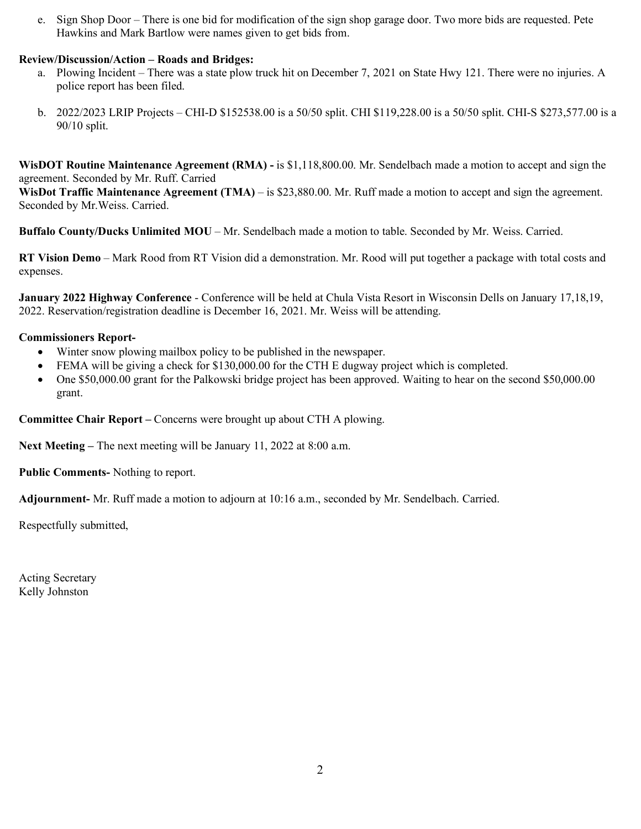e. Sign Shop Door – There is one bid for modification of the sign shop garage door. Two more bids are requested. Pete Hawkins and Mark Bartlow were names given to get bids from.

# **Review/Discussion/Action – Roads and Bridges:**

- a. Plowing Incident There was a state plow truck hit on December 7, 2021 on State Hwy 121. There were no injuries. A police report has been filed.
- b. 2022/2023 LRIP Projects CHI-D \$152538.00 is a 50/50 split. CHI \$119,228.00 is a 50/50 split. CHI-S \$273,577.00 is a 90/10 split.

**WisDOT Routine Maintenance Agreement (RMA) -** is \$1,118,800.00. Mr. Sendelbach made a motion to accept and sign the agreement. Seconded by Mr. Ruff. Carried

**WisDot Traffic Maintenance Agreement (TMA)** – is \$23,880.00. Mr. Ruff made a motion to accept and sign the agreement. Seconded by Mr.Weiss. Carried.

**Buffalo County/Ducks Unlimited MOU** – Mr. Sendelbach made a motion to table. Seconded by Mr. Weiss. Carried.

**RT Vision Demo** – Mark Rood from RT Vision did a demonstration. Mr. Rood will put together a package with total costs and expenses.

**January 2022 Highway Conference** - Conference will be held at Chula Vista Resort in Wisconsin Dells on January 17,18,19, 2022. Reservation/registration deadline is December 16, 2021. Mr. Weiss will be attending.

#### **Commissioners Report-**

- Winter snow plowing mailbox policy to be published in the newspaper.
- FEMA will be giving a check for \$130,000.00 for the CTH E dugway project which is completed.
- One \$50,000.00 grant for the Palkowski bridge project has been approved. Waiting to hear on the second \$50,000.00 grant.

**Committee Chair Report –** Concerns were brought up about CTH A plowing.

**Next Meeting –** The next meeting will be January 11, 2022 at 8:00 a.m.

**Public Comments-** Nothing to report.

**Adjournment-** Mr. Ruff made a motion to adjourn at 10:16 a.m., seconded by Mr. Sendelbach. Carried.

Respectfully submitted,

Acting Secretary Kelly Johnston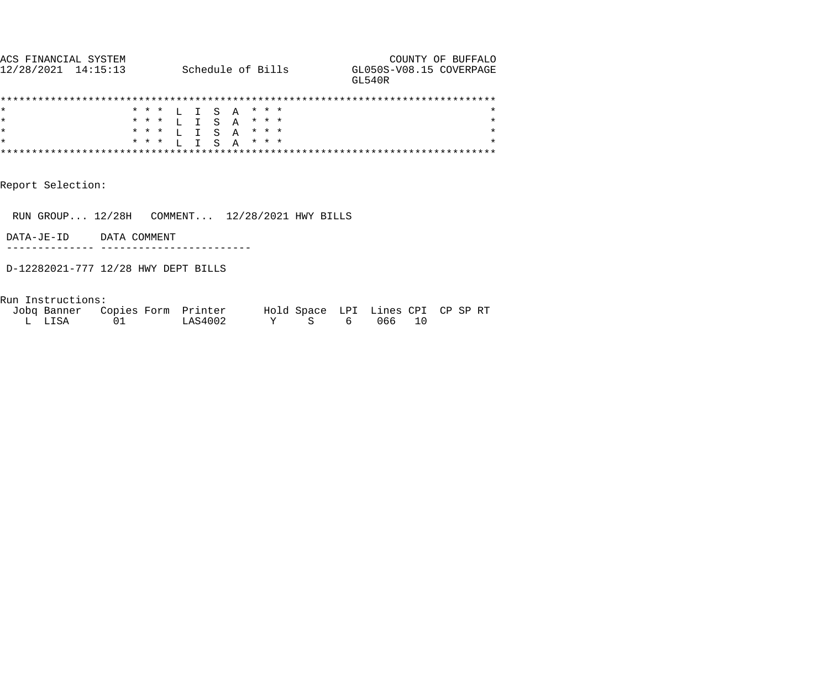| ACS FINANCIAL SYSTEM |                   | COUNTY OF BUFFALO                  |
|----------------------|-------------------|------------------------------------|
| 12/28/2021 14:15:13  | Schedule of Bills | GL050S-V08.15 COVERPAGE<br>GT.540R |
|                      |                   |                                    |

|  |  |  |  |  | * * * L I S A * * *  |         |
|--|--|--|--|--|----------------------|---------|
|  |  |  |  |  | * * * L I S A * * *  |         |
|  |  |  |  |  | * * * L I S A * * *  |         |
|  |  |  |  |  | * * * T, T S A * * * | $\star$ |
|  |  |  |  |  |                      |         |

Report Selection:

RUN GROUP... 12/28H COMMENT... 12/28/2021 HWY BILLS

DATA-JE-ID DATA COMMENT

-------------- ------------------------

D-12282021-777 12/28 HWY DEPT BILLS

Run Instructions:

|        | Jobg Banner Copies Form Printer |         | Hold Space LPI Lines CPI CP SP RT |          |  |
|--------|---------------------------------|---------|-----------------------------------|----------|--|
| L LISA | 01                              | LAS4002 |                                   | 6 066 10 |  |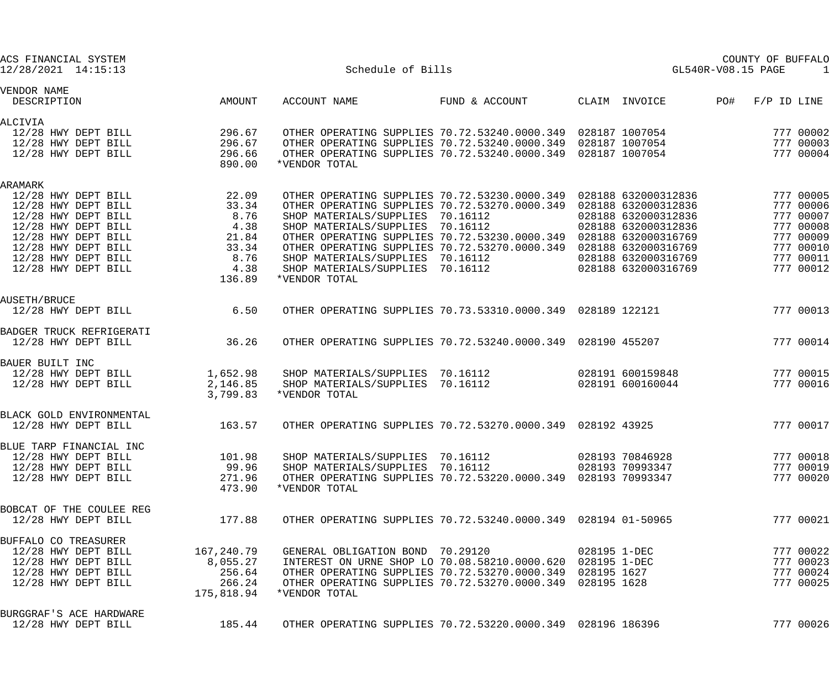| ACS FINANCIAL SYSTEM<br>12/28/2021 14:15:13                                                                                                                                                     |                                                                                | Schedule of Bills                                                                                                                                                                                                                                                                                                                                                                                                                                         |                |                                                                   | GL540R-V08.15 PAGE  | COUNTY OF BUFFALO<br>-1                                                                              |
|-------------------------------------------------------------------------------------------------------------------------------------------------------------------------------------------------|--------------------------------------------------------------------------------|-----------------------------------------------------------------------------------------------------------------------------------------------------------------------------------------------------------------------------------------------------------------------------------------------------------------------------------------------------------------------------------------------------------------------------------------------------------|----------------|-------------------------------------------------------------------|---------------------|------------------------------------------------------------------------------------------------------|
| VENDOR NAME<br>DESCRIPTION                                                                                                                                                                      | AMOUNT                                                                         | ACCOUNT NAME                                                                                                                                                                                                                                                                                                                                                                                                                                              | FUND & ACCOUNT | CLAIM INVOICE                                                     | PO#                 | $F/P$ ID LINE                                                                                        |
| ALCIVIA<br>12/28 HWY DEPT BILL<br>12/28 HWY DEPT BILL<br>12/28 HWY DEPT BILL                                                                                                                    | 296.67<br>296.67<br>296.66<br>890.00                                           | OTHER OPERATING SUPPLIES 70.72.53240.0000.349 028187 1007054<br>OTHER OPERATING SUPPLIES 70.72.53240.0000.349 028187 1007054<br>OTHER OPERATING SUPPLIES 70.72.53240.0000.349 028187 1007054<br>*VENDOR TOTAL                                                                                                                                                                                                                                             |                |                                                                   |                     | 777 00002<br>777 00003<br>777 00004                                                                  |
| ARAMARK<br>12/28 HWY DEPT BILL<br>12/28 HWY DEPT BILL<br>12/28 HWY DEPT BILL<br>12/28 HWY DEPT BILL<br>12/28 HWY DEPT BILL<br>12/28 HWY DEPT BILL<br>12/28 HWY DEPT BILL<br>12/28 HWY DEPT BILL | 22.09<br>33.34<br>$8.76$<br>$4.38$<br>21.84<br>33.34<br>8.76<br>4.38<br>136.89 | OTHER OPERATING SUPPLIES 70.72.53230.0000.349  028188  632000312836<br>OTHER OPERATING SUPPLIES 70.72.53270.0000.349  028188  632000312836<br>SHOP MATERIALS/SUPPLIES 70.16112<br>SHOP MATERIALS/SUPPLIES 70.16112<br>OTHER OPERATING SUPPLIES 70.72.53230.0000.349  028188  632000316769<br>OTHER OPERATING SUPPLIES 70.72.53270.0000.349  028188  632000316769<br>SHOP MATERIALS/SUPPLIES 70.16112<br>SHOP MATERIALS/SUPPLIES 70.16112<br>*VENDOR TOTAL |                | 028188 632000312836<br>028188 632000312836<br>028188 632000316769 | 028188 632000316769 | 777 00005<br>777 00006<br>777 00007<br>777 00008<br>777 00009<br>777 00010<br>777 00011<br>777 00012 |
| AUSETH/BRUCE<br>12/28 HWY DEPT BILL                                                                                                                                                             | 6.50                                                                           | OTHER OPERATING SUPPLIES 70.73.53310.0000.349 028189 122121                                                                                                                                                                                                                                                                                                                                                                                               |                |                                                                   |                     | 777 00013                                                                                            |
| BADGER TRUCK REFRIGERATI<br>12/28 HWY DEPT BILL                                                                                                                                                 | 36.26                                                                          | OTHER OPERATING SUPPLIES 70.72.53240.0000.349 028190 455207                                                                                                                                                                                                                                                                                                                                                                                               |                |                                                                   |                     | 777 00014                                                                                            |
| BAUER BUILT INC<br>12/28 HWY DEPT BILL<br>12/28 HWY DEPT BILL                                                                                                                                   | 1,652.98<br>2,146.85<br>3,799.83                                               | SHOP MATERIALS/SUPPLIES 70.16112<br>SHOP MATERIALS/SUPPLIES 70.16112<br>*VENDOR TOTAL                                                                                                                                                                                                                                                                                                                                                                     |                | 028191 600159848<br>028191 600160044                              |                     | 777 00015<br>777 00016                                                                               |
| BLACK GOLD ENVIRONMENTAL<br>12/28 HWY DEPT BILL                                                                                                                                                 | 163.57                                                                         | OTHER OPERATING SUPPLIES 70.72.53270.0000.349 028192 43925                                                                                                                                                                                                                                                                                                                                                                                                |                |                                                                   |                     | 777 00017                                                                                            |
| BLUE TARP FINANCIAL INC<br>12/28 HWY DEPT BILL<br>12/28 HWY DEPT BILL<br>12/28 HWY DEPT BILL                                                                                                    | 101.98<br>99.96<br>271.96<br>473.90                                            | SHOP MATERIALS/SUPPLIES 70.16112<br>SHOP MATERIALS/SUPPLIES 70.16112<br>OTHER OPERATING SUPPLIES 70.72.53220.0000.349 028193 70993347<br>*VENDOR TOTAL                                                                                                                                                                                                                                                                                                    |                | 028193 70846928<br>028193 70993347                                |                     | 777 00018<br>777 00019<br>777 00020                                                                  |
| BOBCAT OF THE COULEE REG<br>12/28 HWY DEPT BILL                                                                                                                                                 | 177.88                                                                         | OTHER OPERATING SUPPLIES 70.72.53240.0000.349 028194 01-50965                                                                                                                                                                                                                                                                                                                                                                                             |                |                                                                   |                     | 777 00021                                                                                            |
| BUFFALO CO TREASURER<br>12/28 HWY DEPT BILL<br>12/28 HWY DEPT BILL<br>12/28 HWY DEPT BILL<br>12/28 HWY DEPT BILL                                                                                | 167,240.79<br>8,055.27<br>256.64<br>266.24<br>175,818.94                       | GENERAL OBLIGATION BOND 70.29120<br>INTEREST ON URNE SHOP LO 70.08.58210.0000.620 028195 1-DEC<br>OTHER OPERATING SUPPLIES 70.72.53270.0000.349 028195 1627<br>OTHER OPERATING SUPPLIES 70.72.53270.0000.349 028195 1628<br>*VENDOR TOTAL                                                                                                                                                                                                                 |                | 028195 1-DEC                                                      |                     | 777 00022<br>777 00023<br>777 00024<br>777 00025                                                     |
| BURGGRAF'S ACE HARDWARE<br>12/28 HWY DEPT BILL                                                                                                                                                  | 185.44                                                                         | OTHER OPERATING SUPPLIES 70.72.53220.0000.349  028196  186396                                                                                                                                                                                                                                                                                                                                                                                             |                |                                                                   |                     | 777 00026                                                                                            |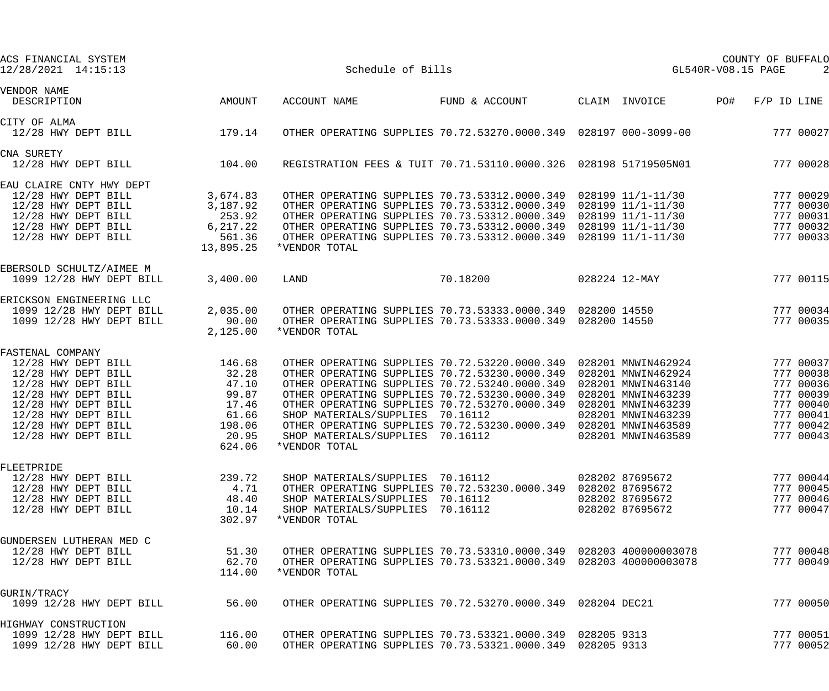| ACS FINANCIAL SYSTEM<br>12/28/2021 14:15:13                                                                                                                                                              |                                                                                  | Schedule of Bills                                                                                                                                                                                                                                                                                                                                                                                                                                    |                | COUNTY OF BUFFALO<br>GL540R-V08.15 PAGE |                                                                                                            |     |                                                                                                      |
|----------------------------------------------------------------------------------------------------------------------------------------------------------------------------------------------------------|----------------------------------------------------------------------------------|------------------------------------------------------------------------------------------------------------------------------------------------------------------------------------------------------------------------------------------------------------------------------------------------------------------------------------------------------------------------------------------------------------------------------------------------------|----------------|-----------------------------------------|------------------------------------------------------------------------------------------------------------|-----|------------------------------------------------------------------------------------------------------|
| VENDOR NAME<br>DESCRIPTION                                                                                                                                                                               | AMOUNT                                                                           | ACCOUNT NAME                                                                                                                                                                                                                                                                                                                                                                                                                                         | FUND & ACCOUNT |                                         | CLAIM INVOICE                                                                                              | PO# | $F/P$ ID LINE                                                                                        |
| CITY OF ALMA<br>12/28 HWY DEPT BILL                                                                                                                                                                      | 179.14                                                                           | OTHER OPERATING SUPPLIES 70.72.53270.0000.349 028197 000-3099-00                                                                                                                                                                                                                                                                                                                                                                                     |                |                                         |                                                                                                            |     | 777 00027                                                                                            |
| CNA SURETY<br>12/28 HWY DEPT BILL                                                                                                                                                                        | 104.00                                                                           | REGISTRATION FEES & TUIT 70.71.53110.0000.326 028198 51719505N01                                                                                                                                                                                                                                                                                                                                                                                     |                |                                         |                                                                                                            |     | 777 00028                                                                                            |
| EAU CLAIRE CNTY HWY DEPT<br>12/28 HWY DEPT BILL<br>12/28 HWY DEPT BILL<br>12/28 HWY DEPT BILL<br>12/28 HWY DEPT BILL<br>12/28 HWY DEPT BILL                                                              | 3,674.83<br>3,187.92<br>253.92<br>6, 217.22<br>561.36<br>13,895.25               | OTHER OPERATING SUPPLIES 70.73.53312.0000.349 028199 11/1-11/30<br>OTHER OPERATING SUPPLIES 70.73.53312.0000.349 028199 11/1-11/30<br>OTHER OPERATING SUPPLIES 70.73.53312.0000.349 028199 11/1-11/30<br>OTHER OPERATING SUPPLIES 70.73.53312.0000.349 028199 11/1-11/30<br>OTHER OPERATING SUPPLIES 70.73.53312.0000.349 028199 11/1-11/30<br>*VENDOR TOTAL                                                                                         |                |                                         |                                                                                                            |     | 777 00029<br>777 00030<br>777 00031<br>777 00032<br>777 00033                                        |
| EBERSOLD SCHULTZ/AIMEE M<br>1099 12/28 HWY DEPT BILL                                                                                                                                                     | 3,400.00                                                                         | LAND                                                                                                                                                                                                                                                                                                                                                                                                                                                 | 70.18200       |                                         | 028224 12-MAY                                                                                              |     | 777 00115                                                                                            |
| ERICKSON ENGINEERING LLC<br>1099 12/28 HWY DEPT BILL<br>1099 12/28 HWY DEPT BILL                                                                                                                         | 2,035.00<br>90.00<br>2,125.00                                                    | OTHER OPERATING SUPPLIES 70.73.53333.0000.349 028200 14550<br>OTHER OPERATING SUPPLIES 70.73.53333.0000.349 028200 14550<br>*VENDOR TOTAL                                                                                                                                                                                                                                                                                                            |                |                                         |                                                                                                            |     | 777 00034<br>777 00035                                                                               |
| FASTENAL COMPANY<br>12/28 HWY DEPT BILL<br>12/28 HWY DEPT BILL<br>12/28 HWY DEPT BILL<br>12/28 HWY DEPT BILL<br>12/28 HWY DEPT BILL<br>12/28 HWY DEPT BILL<br>12/28 HWY DEPT BILL<br>12/28 HWY DEPT BILL | 146.68<br>32.28<br>47.10<br>99.87<br>17.46<br>61.66<br>198.06<br>20.95<br>624.06 | OTHER OPERATING SUPPLIES 70.72.53220.0000.349 028201 MNWIN462924<br>OTHER OPERATING SUPPLIES 70.72.53230.0000.349 028201 MNWIN462924<br>OTHER OPERATING SUPPLIES 70.72.53240.0000.349<br>OTHER OPERATING SUPPLIES 70.72.53230.0000.349<br>OTHER OPERATING SUPPLIES 70.72.53270.0000.349<br>SHOP MATERIALS/SUPPLIES 70.16112<br>OTHER OPERATING SUPPLIES 70.72.53230.0000.349 028201 MNWIN463589<br>SHOP MATERIALS/SUPPLIES 70.16112<br>*VENDOR TOTAL |                |                                         | 028201 MNWIN463140<br>028201 MNWIN463239<br>028201 MNWIN463239<br>028201 MNWIN463239<br>028201 MNWIN463589 |     | 777 00037<br>777 00038<br>777 00036<br>777 00039<br>777 00040<br>777 00041<br>777 00042<br>777 00043 |
| FLEETPRIDE<br>12/28 HWY DEPT BILL<br>12/28 HWY DEPT BILL<br>12/28 HWY DEPT BILL<br>12/28 HWY DEPT BILL                                                                                                   | 239.72<br>4.71<br>48.40<br>10.14<br>302.97                                       | SHOP MATERIALS/SUPPLIES 70.16112<br>OTHER OPERATING SUPPLIES 70.72.53230.0000.349  028202  87695672<br>SHOP MATERIALS/SUPPLIES 70.16112<br>SHOP MATERIALS/SUPPLIES 70.16112<br>*VENDOR TOTAL                                                                                                                                                                                                                                                         |                |                                         | 028202 87695672<br>028202 87695672<br>028202 87695672                                                      |     | 777 00044<br>777 00045<br>777 00046<br>777 00047                                                     |
| GUNDERSEN LUTHERAN MED C<br>12/28 HWY DEPT BILL<br>12/28 HWY DEPT BILL                                                                                                                                   | 51.30<br>62.70<br>114.00                                                         | OTHER OPERATING SUPPLIES 70.73.53310.0000.349                                028203   400000003078<br>OTHER OPERATING SUPPLIES 70.73.53321.0000.349  028203  400000003078<br>*VENDOR TOTAL                                                                                                                                                                                                                                                           |                |                                         |                                                                                                            |     | 777 00048<br>777 00049                                                                               |
| GURIN/TRACY<br>1099 12/28 HWY DEPT BILL                                                                                                                                                                  | 56.00                                                                            | OTHER OPERATING SUPPLIES 70.72.53270.0000.349 028204 DEC21                                                                                                                                                                                                                                                                                                                                                                                           |                |                                         |                                                                                                            |     | 777 00050                                                                                            |
| HIGHWAY CONSTRUCTION<br>1099 12/28 HWY DEPT BILL<br>1099 12/28 HWY DEPT BILL                                                                                                                             | 116.00<br>60.00                                                                  | OTHER OPERATING SUPPLIES 70.73.53321.0000.349 028205 9313<br>OTHER OPERATING SUPPLIES 70.73.53321.0000.349 028205 9313                                                                                                                                                                                                                                                                                                                               |                |                                         |                                                                                                            |     | 777 00051<br>777 00052                                                                               |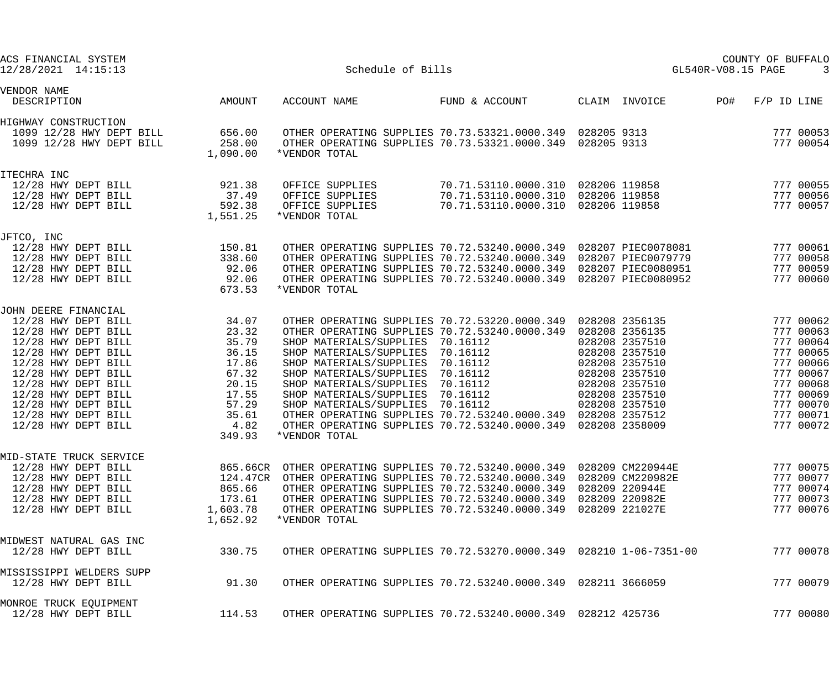| ACS FINANCIAL SYSTEM<br>12/28/2021 14:15:13                                                                                                                                                                                                                                       |                                                                                                          | Schedule of Bills                                                                                                                                                                                                                                                                                                                                                                                                                                                                                           |                                                                                                                |                                                                                                                                                                | GL540R-V08.15 PAGE | COUNTY OF BUFFALO |                                                                                                                                             |
|-----------------------------------------------------------------------------------------------------------------------------------------------------------------------------------------------------------------------------------------------------------------------------------|----------------------------------------------------------------------------------------------------------|-------------------------------------------------------------------------------------------------------------------------------------------------------------------------------------------------------------------------------------------------------------------------------------------------------------------------------------------------------------------------------------------------------------------------------------------------------------------------------------------------------------|----------------------------------------------------------------------------------------------------------------|----------------------------------------------------------------------------------------------------------------------------------------------------------------|--------------------|-------------------|---------------------------------------------------------------------------------------------------------------------------------------------|
| VENDOR NAME<br>DESCRIPTION                                                                                                                                                                                                                                                        | AMOUNT                                                                                                   | ACCOUNT NAME                                                                                                                                                                                                                                                                                                                                                                                                                                                                                                | FUND & ACCOUNT                                                                                                 | CLAIM INVOICE                                                                                                                                                  | PO#                | $F/P$ ID LINE     |                                                                                                                                             |
| HIGHWAY CONSTRUCTION<br>1099 12/28 HWY DEPT BILL<br>1099 12/28 HWY DEPT BILL                                                                                                                                                                                                      | 656.00<br>258.00<br>1,090.00                                                                             | OTHER OPERATING SUPPLIES 70.73.53321.0000.349 028205 9313<br>OTHER OPERATING SUPPLIES 70.73.53321.0000.349 028205 9313<br>*VENDOR TOTAL                                                                                                                                                                                                                                                                                                                                                                     |                                                                                                                |                                                                                                                                                                |                    |                   | 777 00053<br>777 00054                                                                                                                      |
| ITECHRA INC<br>12/28 HWY DEPT BILL<br>12/28 HWY DEPT BILL<br>12/28 HWY DEPT BILL                                                                                                                                                                                                  | 921.38<br>37.49<br>592.38<br>1,551.25                                                                    | OFFICE SUPPLIES<br>OFFICE SUPPLIES<br>OFFICE SUPPLIES<br>*VENDOR TOTAL                                                                                                                                                                                                                                                                                                                                                                                                                                      | 70.71.53110.0000.310 028206 119858<br>70.71.53110.0000.310 028206 119858<br>70.71.53110.0000.310 028206 119858 |                                                                                                                                                                |                    |                   | 777 00055<br>777 00056<br>777 00057                                                                                                         |
| JFTCO, INC<br>12/28 HWY DEPT BILL<br>12/28 HWY DEPT BILL<br>12/28 HWY DEPT BILL<br>12/28 HWY DEPT BILL                                                                                                                                                                            | 150.81<br>338.60<br>92.06<br>92.06<br>673.53                                                             | OTHER OPERATING SUPPLIES 70.72.53240.0000.349 028207 PIEC0078081<br>OTHER OPERATING SUPPLIES 70.72.53240.0000.349 028207 PIEC0079779<br>OTHER OPERATING SUPPLIES 70.72.53240.0000.349 028207 PIEC0080951<br>OTHER OPERATING SUPPLIES 70.72.53240.0000.349 028207 PIEC0080952<br>*VENDOR TOTAL                                                                                                                                                                                                               |                                                                                                                |                                                                                                                                                                |                    |                   | 777 00061<br>777 00058<br>777 00059<br>777 00060                                                                                            |
| JOHN DEERE FINANCIAL<br>12/28 HWY DEPT BILL<br>12/28 HWY DEPT BILL<br>12/28 HWY DEPT BILL<br>12/28 HWY DEPT BILL<br>12/28 HWY DEPT BILL<br>12/28 HWY DEPT BILL<br>12/28 HWY DEPT BILL<br>12/28 HWY DEPT BILL<br>12/28 HWY DEPT BILL<br>12/28 HWY DEPT BILL<br>12/28 HWY DEPT BILL | 34.07<br>23.32<br>35.79<br>36.15<br>17.86<br>67.32<br>20.15<br>17.55<br>57.29<br>35.61<br>4.82<br>349.93 | OTHER OPERATING SUPPLIES 70.72.53220.0000.349 028208 2356135<br>OTHER OPERATING SUPPLIES 70.72.53240.0000.349<br>SHOP MATERIALS/SUPPLIES 70.16112<br>SHOP MATERIALS/SUPPLIES 70.16112<br>SHOP MATERIALS/SUPPLIES 70.16112<br>SHOP MATERIALS/SUPPLIES 70.16112<br>SHOP MATERIALS/SUPPLIES 70.16112<br>SHOP MATERIALS/SUPPLIES 70.16112<br>SHOP MATERIALS/SUPPLIES 70.16112<br>OTHER OPERATING SUPPLIES 70.72.53240.0000.349 028208 2357512<br>OTHER OPERATING SUPPLIES 70.72.53240.0000.349<br>*VENDOR TOTAL |                                                                                                                | 028208 2356135<br>028208 2357510<br>028208 2357510<br>028208 2357510<br>028208 2357510<br>028208 2357510<br>028208 2357510<br>028208 2357510<br>028208 2358009 |                    |                   | 777 00062<br>777 00063<br>777 00064<br>777 00065<br>777 00066<br>777 00067<br>777 00068<br>777 00069<br>777 00070<br>777 00071<br>777 00072 |
| MID-STATE TRUCK SERVICE<br>12/28 HWY DEPT BILL<br>12/28 HWY DEPT BILL<br>12/28 HWY DEPT BILL<br>12/28 HWY DEPT BILL<br>12/28 HWY DEPT BILL                                                                                                                                        | 865.66                                                                                                   | 865.66CR OTHER OPERATING SUPPLIES 70.72.53240.0000.349 028209 CM220944E<br>124.47CR OTHER OPERATING SUPPLIES 70.72.53240.0000.349 028209 CM220982E<br>OTHER OPERATING SUPPLIES 70.72.53240.0000.349  028209  220944E<br>173.61 OTHER OPERATING SUPPLIES 70.72.53240.0000.349 028209 220982E<br>1,603.78 OTHER OPERATING SUPPLIES 70.72.53240.0000.349 028209 221027E<br>1,652.92 *VENDOR TOTAL                                                                                                              |                                                                                                                |                                                                                                                                                                |                    |                   | 777 00075<br>777 00077<br>777 00074<br>777 00073<br>777 00076                                                                               |
| MIDWEST NATURAL GAS INC<br>12/28 HWY DEPT BILL                                                                                                                                                                                                                                    | 330.75                                                                                                   | OTHER OPERATING SUPPLIES 70.72.53270.0000.349  028210  1-06-7351-00                                                                                                                                                                                                                                                                                                                                                                                                                                         |                                                                                                                |                                                                                                                                                                |                    |                   | 777 00078                                                                                                                                   |
| MISSISSIPPI WELDERS SUPP<br>12/28 HWY DEPT BILL                                                                                                                                                                                                                                   | 91.30                                                                                                    | OTHER OPERATING SUPPLIES 70.72.53240.0000.349  028211  3666059                                                                                                                                                                                                                                                                                                                                                                                                                                              |                                                                                                                |                                                                                                                                                                |                    |                   | 777 00079                                                                                                                                   |
| MONROE TRUCK EQUIPMENT<br>12/28 HWY DEPT BILL                                                                                                                                                                                                                                     | 114.53                                                                                                   | OTHER OPERATING SUPPLIES 70.72.53240.0000.349 028212 425736                                                                                                                                                                                                                                                                                                                                                                                                                                                 |                                                                                                                |                                                                                                                                                                |                    |                   | 777 00080                                                                                                                                   |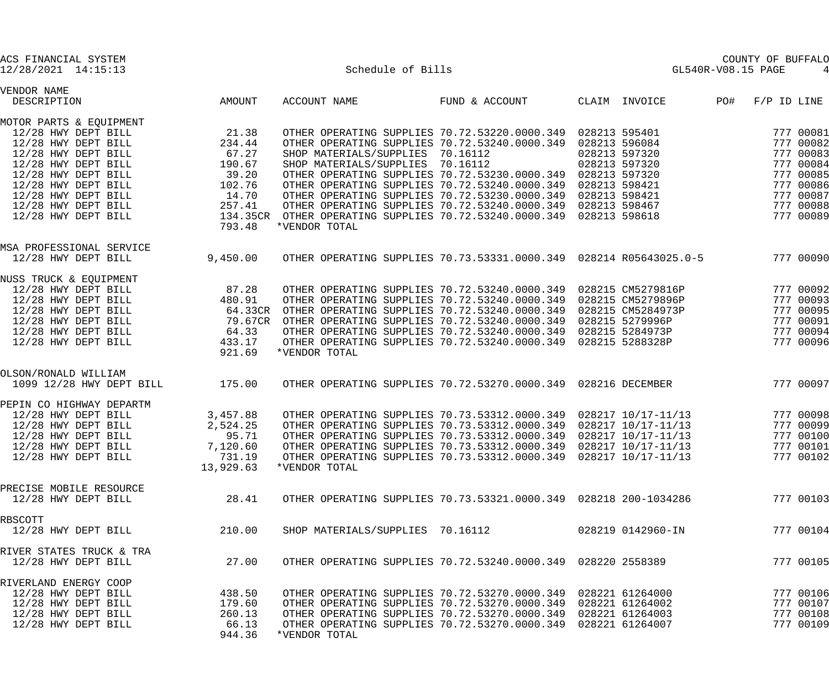| ACS FINANCIAL SYSTEM<br>12/28/2021 14:15:13                                                                                                                                                                                            |                                                                                    | Schedule of Bills                                                                                                                                                                                                                                                                                                                                                                                                                                                                                                                         |                |                                                 | GL540R-V08.15 PAGE | COUNTY OF BUFFALO                                                                                                 |
|----------------------------------------------------------------------------------------------------------------------------------------------------------------------------------------------------------------------------------------|------------------------------------------------------------------------------------|-------------------------------------------------------------------------------------------------------------------------------------------------------------------------------------------------------------------------------------------------------------------------------------------------------------------------------------------------------------------------------------------------------------------------------------------------------------------------------------------------------------------------------------------|----------------|-------------------------------------------------|--------------------|-------------------------------------------------------------------------------------------------------------------|
| VENDOR NAME<br>DESCRIPTION                                                                                                                                                                                                             | AMOUNT                                                                             | ACCOUNT NAME                                                                                                                                                                                                                                                                                                                                                                                                                                                                                                                              | FUND & ACCOUNT | CLAIM INVOICE                                   | PO#                | $F/P$ ID LINE                                                                                                     |
| MOTOR PARTS & EQUIPMENT<br>12/28 HWY DEPT BILL<br>12/28 HWY DEPT BILL<br>12/28 HWY DEPT BILL<br>12/28 HWY DEPT BILL<br>12/28 HWY DEPT BILL<br>12/28 HWY DEPT BILL<br>12/28 HWY DEPT BILL<br>12/28 HWY DEPT BILL<br>12/28 HWY DEPT BILL | 21.38<br>234.44<br>67.27<br>190.67<br>39.20<br>102.76<br>14.70<br>257.41<br>793.48 | OTHER OPERATING SUPPLIES 70.72.53220.0000.349 028213 595401<br>OTHER OPERATING SUPPLIES 70.72.53240.0000.349 028213 596084<br>SHOP MATERIALS/SUPPLIES 70.16112<br>SHOP MATERIALS/SUPPLIES 70.16112<br>OTHER OPERATING SUPPLIES 70.72.53230.0000.349 028213 597320<br>OTHER OPERATING SUPPLIES 70.72.53240.0000.349<br>OTHER OPERATING SUPPLIES 70.72.53230.0000.349 028213 598421<br>OTHER OPERATING SUPPLIES 70.72.53240.0000.349 028213 598467<br>134.35CR OTHER OPERATING SUPPLIES 70.72.53240.0000.349 028213 598618<br>*VENDOR TOTAL |                | 028213 597320<br>028213 597320<br>028213 598421 |                    | 777 00081<br>777 00082<br>777 00083<br>777 00084<br>777 00085<br>777 00086<br>777 00087<br>777 00088<br>777 00089 |
| MSA PROFESSIONAL SERVICE<br>12/28 HWY DEPT BILL                                                                                                                                                                                        | 9,450.00                                                                           | OTHER OPERATING SUPPLIES 70.73.53331.0000.349  028214  R05643025.0-5                                                                                                                                                                                                                                                                                                                                                                                                                                                                      |                |                                                 |                    | 777 00090                                                                                                         |
| NUSS TRUCK & EQUIPMENT<br>12/28 HWY DEPT BILL<br>12/28 HWY DEPT BILL<br>12/28 HWY DEPT BILL<br>12/28 HWY DEPT BILL<br>12/28 HWY DEPT BILL<br>12/28 HWY DEPT BILL                                                                       | 87.28<br>480.91<br>64.33CR<br>79.67CR<br>64.33<br>433.17<br>921.69                 | OTHER OPERATING SUPPLIES 70.72.53240.0000.349 028215 CM5279816P<br>OTHER OPERATING SUPPLIES 70.72.53240.0000.349 028215 CM5279896P<br>OTHER OPERATING SUPPLIES 70.72.53240.0000.349  028215 CM5284973P<br>OTHER OPERATING SUPPLIES 70.72.53240.0000.349  028215  5279996P<br>OTHER OPERATING SUPPLIES 70.72.53240.0000.349 028215 5284973P<br>OTHER OPERATING SUPPLIES 70.72.53240.0000.349   028215   5288328P<br>*VENDOR TOTAL                                                                                                          |                |                                                 |                    | 777 00092<br>777 00093<br>777 00095<br>777 00091<br>777 00094<br>777 00096                                        |
| OLSON/RONALD WILLIAM<br>1099 12/28 HWY DEPT BILL                                                                                                                                                                                       | 175.00                                                                             | OTHER OPERATING SUPPLIES 70.72.53270.0000.349 028216 DECEMBER                                                                                                                                                                                                                                                                                                                                                                                                                                                                             |                |                                                 |                    | 777 00097                                                                                                         |
| PEPIN CO HIGHWAY DEPARTM<br>12/28 HWY DEPT BILL<br>12/28 HWY DEPT BILL<br>12/28 HWY DEPT BILL<br>12/28 HWY DEPT BILL<br>12/28 HWY DEPT BILL                                                                                            | 3,457.88<br>2,524.25<br>95.71<br>7,120.60<br>731.19<br>13,929.63                   | OTHER OPERATING SUPPLIES 70.73.53312.0000.349 028217 10/17-11/13<br>OTHER OPERATING SUPPLIES 70.73.53312.0000.349 028217 10/17-11/13<br>OTHER OPERATING SUPPLIES 70.73.53312.0000.349 028217 10/17-11/13<br>OTHER OPERATING SUPPLIES 70.73.53312.0000.349 028217 10/17-11/13<br>OTHER OPERATING SUPPLIES 70.73.53312.0000.349  028217  10/17-11/13<br>*VENDOR TOTAL                                                                                                                                                                       |                |                                                 |                    | 777 00098<br>777 00099<br>777 00100<br>777 00101<br>777 00102                                                     |
| PRECISE MOBILE RESOURCE<br>12/28 HWY DEPT BILL                                                                                                                                                                                         | 28.41                                                                              | OTHER OPERATING SUPPLIES 70.73.53321.0000.349 028218 200-1034286                                                                                                                                                                                                                                                                                                                                                                                                                                                                          |                |                                                 |                    | 777 00103                                                                                                         |
| RBSCOTT<br>12/28 HWY DEPT BILL                                                                                                                                                                                                         | 210.00                                                                             | SHOP MATERIALS/SUPPLIES 70.16112                                                                                                                                                                                                                                                                                                                                                                                                                                                                                                          |                | 028219 0142960-IN                               |                    | 777 00104                                                                                                         |
| RIVER STATES TRUCK & TRA<br>12/28 HWY DEPT BILL                                                                                                                                                                                        | 27.00                                                                              | OTHER OPERATING SUPPLIES 70.72.53240.0000.349  028220  2558389                                                                                                                                                                                                                                                                                                                                                                                                                                                                            |                |                                                 |                    | 777 00105                                                                                                         |
| RIVERLAND ENERGY COOP<br>12/28 HWY DEPT BILL<br>12/28 HWY DEPT BILL<br>12/28 HWY DEPT BILL<br>12/28 HWY DEPT BILL                                                                                                                      | 438.50<br>179.60<br>260.13<br>66.13<br>944.36                                      | OTHER OPERATING SUPPLIES 70.72.53270.0000.349 028221 61264000<br>OTHER OPERATING SUPPLIES 70.72.53270.0000.349 028221 61264002<br>OTHER OPERATING SUPPLIES 70.72.53270.0000.349 028221 61264003<br>OTHER OPERATING SUPPLIES 70.72.53270.0000.349 028221 61264007<br>*VENDOR TOTAL                                                                                                                                                                                                                                                         |                |                                                 |                    | 777 00106<br>777 00107<br>777 00108<br>777 00109                                                                  |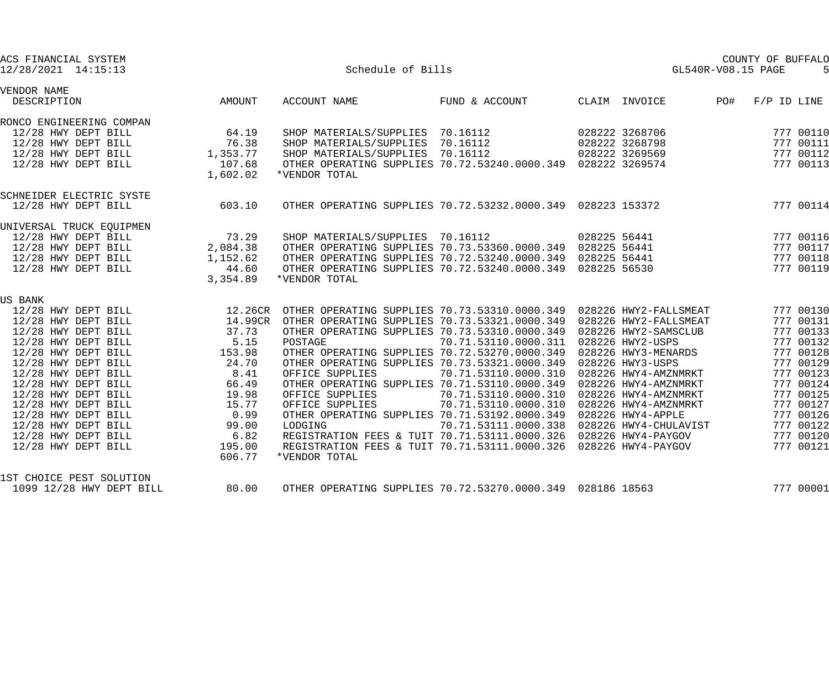| ACS FINANCIAL SYSTEM<br>12/28/2021 14:15:13                                                            |                               | Schedule of Bills                                                                                                                                                                      |                      |                      | GL540R-V08.15 PAGE | COUNTY OF BUFFALO |           |
|--------------------------------------------------------------------------------------------------------|-------------------------------|----------------------------------------------------------------------------------------------------------------------------------------------------------------------------------------|----------------------|----------------------|--------------------|-------------------|-----------|
| VENDOR NAME<br>DESCRIPTION                                                                             | <b>AMOUNT</b>                 | ACCOUNT NAME                                                                                                                                                                           | FUND & ACCOUNT       | CLAIM INVOICE        | PO#                | $F/P$ ID LINE     |           |
| RONCO ENGINEERING COMPAN                                                                               |                               |                                                                                                                                                                                        |                      |                      |                    |                   |           |
| 12/28 HWY DEPT BILL                                                                                    | 64.19                         | SHOP MATERIALS/SUPPLIES 70.16112                                                                                                                                                       |                      | 028222 3268706       |                    |                   | 777 00110 |
| 12/28 HWY DEPT BILL                                                                                    |                               | SHOP MATERIALS/SUPPLIES 70.16112                                                                                                                                                       |                      | 028222 3268798       |                    |                   | 777 00111 |
| 12/28 HWY DEPT BILL                                                                                    | $76.38$<br>$1,353.77$         |                                                                                                                                                                                        |                      |                      |                    |                   | 777 00112 |
| 12/28 HWY DEPT BILL                                                                                    | 107.68                        | SHOP MATERIALS/SUPPLIES 70.16112 028222 3269569<br>OTHER OPERATING SUPPLIES 70.72.53240.0000.349 028222 3269574                                                                        |                      |                      |                    |                   | 777 00113 |
|                                                                                                        | 1,602.02                      | *VENDOR TOTAL                                                                                                                                                                          |                      |                      |                    |                   |           |
| SCHNEIDER ELECTRIC SYSTE                                                                               |                               |                                                                                                                                                                                        |                      |                      |                    |                   |           |
| 12/28 HWY DEPT BILL                                                                                    | 603.10                        | OTHER OPERATING SUPPLIES 70.72.53232.0000.349 028223 153372                                                                                                                            |                      |                      |                    |                   | 777 00114 |
| UNIVERSAL TRUCK EQUIPMEN                                                                               |                               |                                                                                                                                                                                        |                      |                      |                    |                   |           |
| 12/28 HWY DEPT BILL                                                                                    | 73.29<br>2,084.38<br>1,152.62 | SHOP MATERIALS/SUPPLIES 70.16112                                                                                                                                                       |                      | 028225 56441         |                    |                   | 777 00116 |
| 12/28 HWY DEPT BILL<br>12/28 HWY DEPT BILL<br>12/28 HWY DEPT BILL                                      |                               | OTHER OPERATING SUPPLIES 70.73.53360.0000.349 028225 56441<br>OTHER OPERATING SUPPLIES 70.72.53240.0000.349 028225 56441<br>OTHER OPERATING SUPPLIES 70.72.53240.0000.349 028225 56530 |                      |                      |                    |                   | 777 00117 |
|                                                                                                        |                               |                                                                                                                                                                                        |                      |                      |                    |                   | 777 00118 |
|                                                                                                        | 44.60                         |                                                                                                                                                                                        |                      |                      |                    |                   | 777 00119 |
|                                                                                                        | 3,354.89                      | *VENDOR TOTAL                                                                                                                                                                          |                      |                      |                    |                   |           |
| US BANK                                                                                                |                               |                                                                                                                                                                                        |                      |                      |                    |                   |           |
| $12.26$ HWY DEPT BILL $12.26$ CR OTHER OPERATING SUPPLIES $70.73.53310.0000.349$ 028226 HWY2-FALLSMEAT |                               |                                                                                                                                                                                        |                      |                      |                    |                   | 777 00130 |
| 12/28 HWY DEPT BILL                                                                                    |                               | 14.99CR OTHER OPERATING SUPPLIES 70.73.53321.0000.349 028226 HWY2-FALLSMEAT                                                                                                            |                      |                      |                    |                   | 777 00131 |
| 12/28 HWY DEPT BILL                                                                                    | $37.73$<br>5.15               | OTHER OPERATING SUPPLIES 70.73.53310.0000.349 028226 HWY2-SAMSCLUB                                                                                                                     |                      |                      |                    |                   | 777 00133 |
| 12/28 HWY DEPT BILL                                                                                    |                               | POSTAGE                                                                                                                                                                                | 70.71.53110.0000.311 | 028226 HWY2-USPS     |                    |                   | 777 00132 |
| 12/28 HWY DEPT BILL                                                                                    | 153.98                        | OTHER OPERATING SUPPLIES 70.72.53270.0000.349                                                                                                                                          |                      | 028226 HWY3-MENARDS  |                    |                   | 777 00128 |
| 12/28 HWY DEPT BILL                                                                                    | 24.70                         | OTHER OPERATING SUPPLIES 70.73.53321.0000.349                                                                                                                                          |                      | 028226 HWY3-USPS     |                    |                   | 777 00129 |
| 12/28 HWY DEPT BILL                                                                                    | 8.41                          | OFFICE SUPPLIES                                                                                                                                                                        |                      |                      |                    |                   | 777 00123 |
| 12/28 HWY DEPT BILL                                                                                    | 66.49                         | OTHER OPERATING SUPPLIES 70.71.53110.0000.349 028226 HWY4-AMZNMRKT                                                                                                                     |                      |                      |                    |                   | 777 00124 |
| 12/28 HWY DEPT BILL                                                                                    | 19.98                         | OFFICE SUPPLIES                                                                                                                                                                        |                      |                      |                    |                   | 777 00125 |
| 12/28 HWY DEPT BILL                                                                                    | 15.77                         | OFFICE SUPPLIES                                                                                                                                                                        | 70.71.53110.0000.310 | 028226 HWY4-AMZNMRKT |                    |                   | 777 00127 |
| 12/28 HWY DEPT BILL                                                                                    | 0.99                          | OTHER OPERATING SUPPLIES 70.71.53192.0000.349 028226 HWY4-APPLE                                                                                                                        |                      |                      |                    |                   | 777 00126 |
| 12/28 HWY DEPT BILL                                                                                    | 99.00                         | LODGING                                                                                                                                                                                |                      |                      |                    |                   | 777 00122 |
| 12/28 HWY DEPT BILL                                                                                    | 6.82                          | REGISTRATION FEES & TUIT 70.71.53111.0000.326 028226 HWY4-PAYGOV                                                                                                                       |                      |                      |                    |                   | 777 00120 |
| 12/28 HWY DEPT BILL                                                                                    | 195.00                        | REGISTRATION FEES & TUIT 70.71.53111.0000.326 028226 HWY4-PAYGOV                                                                                                                       |                      |                      |                    |                   | 777 00121 |
|                                                                                                        | 606.77                        | *VENDOR TOTAL                                                                                                                                                                          |                      |                      |                    |                   |           |
| 1ST CHOICE PEST SOLUTION                                                                               |                               |                                                                                                                                                                                        |                      |                      |                    |                   |           |
| 1099 12/28 HWY DEPT BILL                                                                               | 80.00                         | OTHER OPERATING SUPPLIES 70.72.53270.0000.349 028186 18563                                                                                                                             |                      |                      |                    |                   | 777 00001 |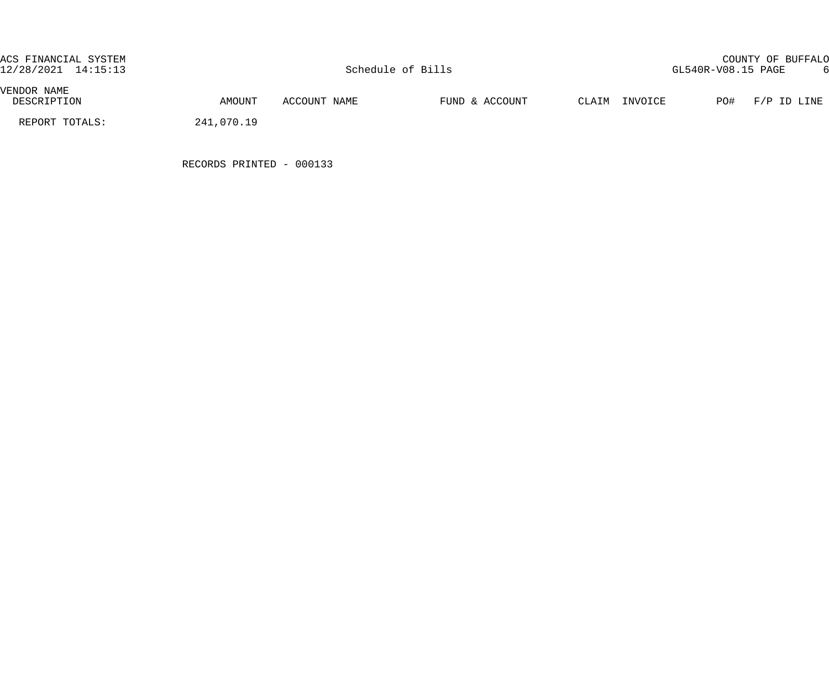| ACS FINANCIAL SYSTEM<br>12/28/2021 14:15:13 |            |              | Schedule of Bills |               | GL540R-V08.15 PAGE | COUNTY OF BUFFALO |  |
|---------------------------------------------|------------|--------------|-------------------|---------------|--------------------|-------------------|--|
| VENDOR NAME<br>DESCRIPTION                  | AMOUNT     | ACCOUNT NAME | FUND & ACCOUNT    | CLAIM INVOICE |                    | PO# F/P ID LINE   |  |
| REPORT TOTALS:                              | 241,070.19 |              |                   |               |                    |                   |  |

RECORDS PRINTED - 000133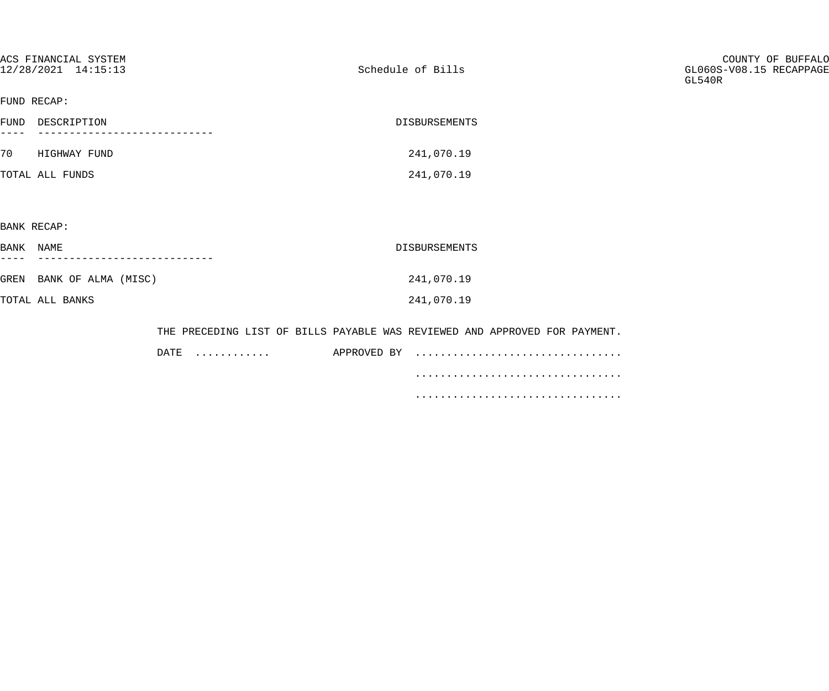| ACS FINANCIAL SYSTEM<br>12/28/2021 14:15:13 | Schedule of Bills                                                          | COUNTY OF BUFFALO<br>GL060S-V08.15 RECAPPAGE<br>GL540R |
|---------------------------------------------|----------------------------------------------------------------------------|--------------------------------------------------------|
| FUND RECAP:                                 |                                                                            |                                                        |
| FUND DESCRIPTION<br>$---$                   | DISBURSEMENTS                                                              |                                                        |
| 70 HIGHWAY FUND                             | 241,070.19                                                                 |                                                        |
| TOTAL ALL FUNDS                             | 241,070.19                                                                 |                                                        |
|                                             |                                                                            |                                                        |
| BANK RECAP:                                 |                                                                            |                                                        |
| BANK NAME                                   | DISBURSEMENTS                                                              |                                                        |
| GREN BANK OF ALMA (MISC)                    | 241,070.19                                                                 |                                                        |
| TOTAL ALL BANKS                             | 241,070.19                                                                 |                                                        |
|                                             | THE PRECEDING LIST OF BILLS PAYABLE WAS REVIEWED AND APPROVED FOR PAYMENT. |                                                        |

| DATE. | . | APPROVED BY |  |
|-------|---|-------------|--|
|       |   |             |  |
|       |   |             |  |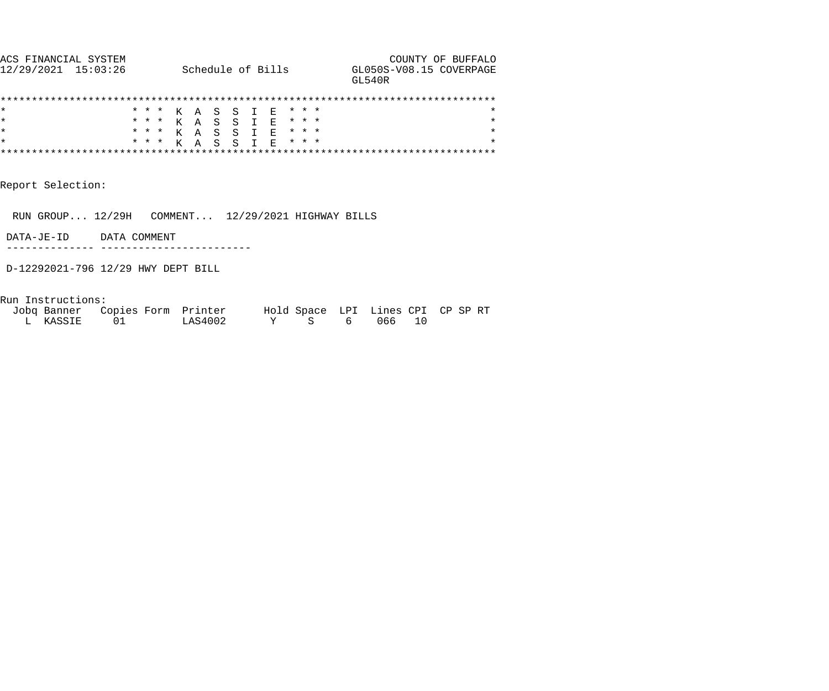| ACS FINANCIAI SYSTEM |                   | COUNTY OF BUFFALO                  |
|----------------------|-------------------|------------------------------------|
| 12/29/2021 15:03:26  | Schedule of Bills | GL050S-V08.15 COVERPAGE<br>GT.540R |
|                      |                   |                                    |

|         |  |  |  | * * * K A S S I E * * * |  |  |  |  |
|---------|--|--|--|-------------------------|--|--|--|--|
| l*      |  |  |  | * * * K A S S I E * * * |  |  |  |  |
| l*      |  |  |  | * * * K A S S T F * * * |  |  |  |  |
| $\star$ |  |  |  | * * * K A S S T E * * * |  |  |  |  |
|         |  |  |  |                         |  |  |  |  |

Report Selection:

RUN GROUP... 12/29H COMMENT... 12/29/2021 HIGHWAY BILLS

DATA-JE-ID DATA COMMENT

-------------- ------------------------

D-12292021-796 12/29 HWY DEPT BILL

Run Instructions:

| Jobg Banner Copies Form Printer |         | Hold Space LPI Lines CPI CP SP RT |        |  |
|---------------------------------|---------|-----------------------------------|--------|--|
| L KASSIE                        | LAS4002 |                                   | 606610 |  |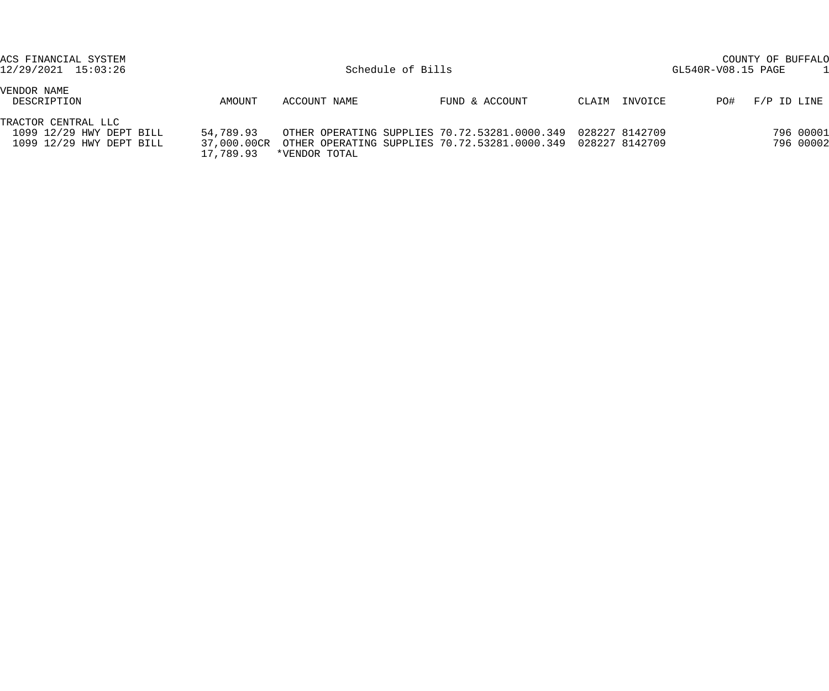| ACS FINANCIAL SYSTEM<br>12/29/2021 15:03:26                                 |                        |               | Schedule of Bills                                                                                                                          |                  | COUNTY OF BUFFALO<br>GL540R-V08.15 PAGE |
|-----------------------------------------------------------------------------|------------------------|---------------|--------------------------------------------------------------------------------------------------------------------------------------------|------------------|-----------------------------------------|
| VENDOR NAME<br>DESCRIPTION                                                  | AMOUNT                 | ACCOUNT NAME  | FUND & ACCOUNT                                                                                                                             | INVOICE<br>CLAIM | F/P ID LINE<br>PO#                      |
| TRACTOR CENTRAL LLC<br>1099 12/29 HWY DEPT BILL<br>1099 12/29 HWY DEPT BILL | 54,789.93<br>17,789.93 | *VENDOR TOTAL | OTHER OPERATING SUPPLIES 70.72.53281.0000.349  028227  8142709<br>37,000.00CR OTHER OPERATING SUPPLIES 70.72.53281.0000.349 028227 8142709 |                  | 796 00001<br>796 00002                  |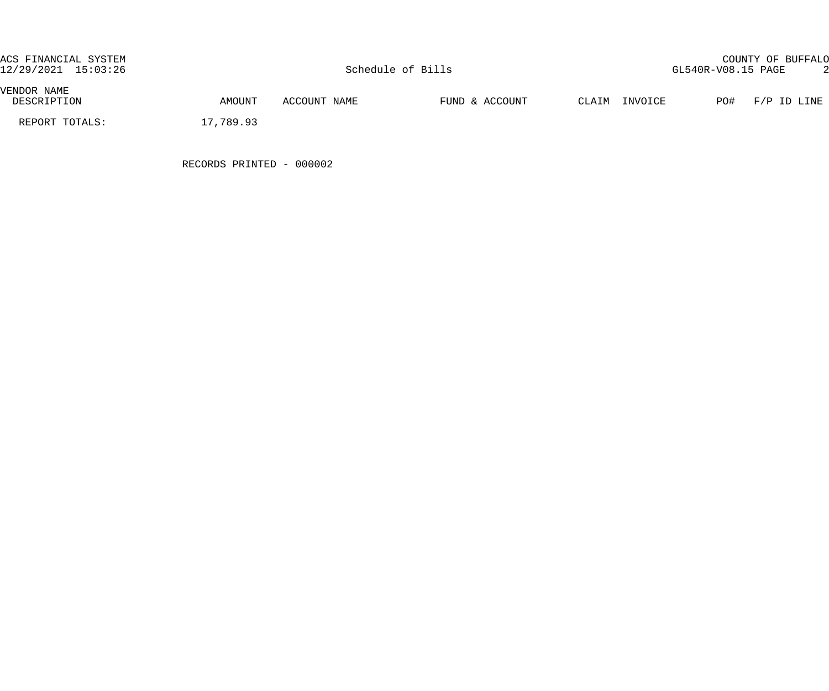| ACS FINANCIAL SYSTEM<br>12/29/2021 15:03:26 |           |              | Schedule of Bills |       |         | GL540R-V08.15 PAGE | COUNTY OF BUFFALO |  |
|---------------------------------------------|-----------|--------------|-------------------|-------|---------|--------------------|-------------------|--|
| VENDOR NAME<br>DESCRIPTION                  | AMOUNT    | ACCOUNT NAME | FUND & ACCOUNT    | CLAIM | INVOICE |                    | PO# F/P ID LINE   |  |
| REPORT TOTALS:                              | 17,789.93 |              |                   |       |         |                    |                   |  |

RECORDS PRINTED - 000002